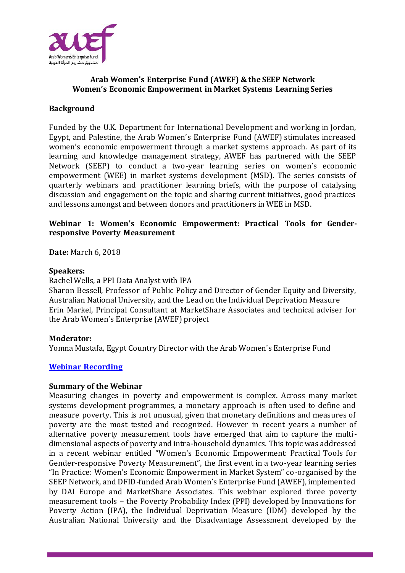

# **Arab Women's Enterprise Fund (AWEF) & the SEEP Network Women's Economic Empowerment in Market Systems Learning Series**

# **Background**

Funded by the U.K. Department for International Development and working in Jordan, Egypt, and Palestine, the Arab Women's Enterprise Fund (AWEF) stimulates increased women's economic empowerment through a market systems approach. As part of its learning and knowledge management strategy, AWEF has partnered with the SEEP Network (SEEP) to conduct a two-year learning series on women's economic empowerment (WEE) in market systems development (MSD). The series consists of quarterly webinars and practitioner learning briefs, with the purpose of catalysing discussion and engagement on the topic and sharing current initiatives, good practices and lessons amongst and between donors and practitioners in WEE in MSD.

# **Webinar 1: Women's Economic Empowerment: Practical Tools for Genderresponsive Poverty Measurement**

**Date:** March 6, 2018

### **Speakers:**

Rachel Wells, a PPI Data Analyst with IPA

Sharon Bessell, Professor of Public Policy and Director of Gender Equity and Diversity, Australian National University, and the Lead on the Individual Deprivation Measure Erin Markel, Principal Consultant at MarketShare Associates and technical adviser for the Arab Women's Enterprise (AWEF) project

### **Moderator:**

Yomna Mustafa, Egypt Country Director with the Arab Women's Enterprise Fund

### **[Webinar Recording](https://seepnetwork.org/Webinar-Post/Women-s-Economic-Empowerment-Practical-Tools-for-Gender-responsive-Poverty-Measurement-Webinar)**

#### **Summary of the Webinar**

Measuring changes in poverty and empowerment is complex. Across many market systems development programmes, a monetary approach is often used to define and measure poverty. This is not unusual, given that monetary definitions and measures of poverty are the most tested and recognized. However in recent years a number of alternative poverty measurement tools have emerged that aim to capture the multidimensional aspects of poverty and intra-household dynamics. This topic was addressed in a recent webinar entitled "Women's Economic Empowerment: Practical Tools for Gender-responsive Poverty Measurement", the first event in a two-year learning series "In Practice: Women's Economic Empowerment in Market System" co-organised by the SEEP Network, and DFID-funded Arab Women's Enterprise Fund (AWEF), implemented by DAI Europe and MarketShare Associates. This webinar explored three poverty measurement tools – the Poverty Probability Index (PPI) developed by Innovations for Poverty Action (IPA), the Individual Deprivation Measure (IDM) developed by the Australian National University and the Disadvantage Assessment developed by the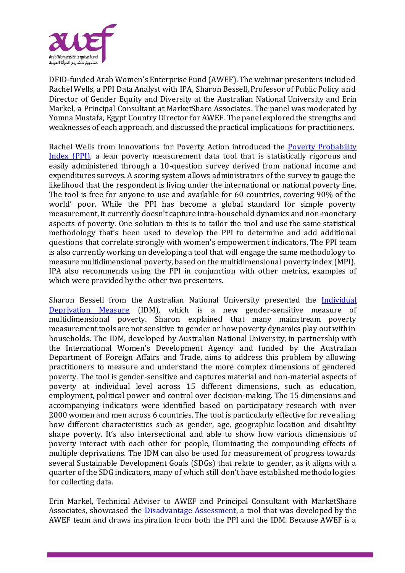

DFID-funded Arab Women's Enterprise Fund (AWEF). The webinar presenters included Rachel Wells, a PPI Data Analyst with IPA, Sharon Bessell, Professor of Public Policy and Director of Gender Equity and Diversity at the Australian National University and Erin Markel, a Principal Consultant at MarketShare Associates. The panel was moderated by Yomna Mustafa, Egypt Country Director for AWEF. The panel explored the strengths and weaknesses of each approach, and discussed the practical implications for practitioners.

Rachel Wells from Innovations for Poverty Action introduced the [Poverty Probability](https://www.povertyindex.org/)  [Index \(PPI\),](https://www.povertyindex.org/) a lean poverty measurement data tool that is statistically rigorous and easily administered through a 10-question survey derived from national income and expenditures surveys. A scoring system allows administrators of the survey to gauge the likelihood that the respondent is living under the international or national poverty line. The tool is free for anyone to use and available for 60 countries, covering 90% of the world' poor. While the PPI has become a global standard for simple poverty measurement, it currently doesn't capture intra-household dynamics and non-monetary aspects of poverty. One solution to this is to tailor the tool and use the same statistical methodology that's been used to develop the PPI to determine and add additional questions that correlate strongly with women's empowerment indicators. The PPI team is also currently working on developing a tool that will engage the same methodology to measure multidimensional poverty, based on the multidimensional poverty index (MPI). IPA also recommends using the PPI in conjunction with other metrics, examples of which were provided by the other two presenters.

Sharon Bessell from the Australian National University presented the *Individual* [Deprivation Measure](http://www.individualdeprivationmeasure.org/) (IDM), which is a new gender-sensitive measure of multidimensional poverty. Sharon explained that many mainstream poverty measurement tools are not sensitive to gender or how poverty dynamics play out within households. The IDM, developed by Australian National University, in partnership with the International Women's Development Agency and funded by the Australian Department of Foreign Affairs and Trade, aims to address this problem by allowing practitioners to measure and understand the more complex dimensions of gendered poverty. The tool is gender-sensitive and captures material and non-material aspects of poverty at individual level across 15 different dimensions, such as education, employment, political power and control over decision-making. The 15 dimensions and accompanying indicators were identified based on participatory research with over 2000 women and men across 6 countries. The tool is particularly effective for revealing how different characteristics such as gender, age, geographic location and disability shape poverty. It's also intersectional and able to show how various dimensions of poverty interact with each other for people, illuminating the compounding effects of multiple deprivations. The IDM can also be used for measurement of progress towards several Sustainable Development Goals (SDGs) that relate to gender, as it aligns with a quarter of the SDG indicators, many of which still don't have established methodologies for collecting data.

Erin Markel, Technical Adviser to AWEF and Principal Consultant with MarketShare Associates, showcased the [Disadvantage Assessment,](https://seepnetwork.org/Blog-Post/950/Overcoming-Gender-Blindness-in-Market-Systems-Poverty-Measurement-and-Targeting) a tool that was developed by the AWEF team and draws inspiration from both the PPI and the IDM. Because AWEF is a